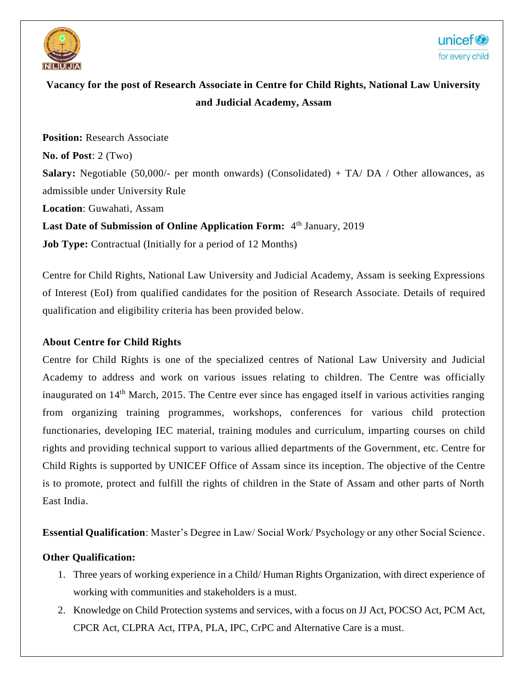

# **Vacancy for the post of Research Associate in Centre for Child Rights, National Law University and Judicial Academy, Assam**

**Position: Research Associate No. of Post**: 2 (Two) **Salary:** Negotiable (50,000/- per month onwards) (Consolidated) + TA/ DA / Other allowances, as admissible under University Rule **Location**: Guwahati, Assam **Last Date of Submission of Online Application Form:** 4<sup>th</sup> January, 2019 **Job Type:** Contractual (Initially for a period of 12 Months)

Centre for Child Rights, National Law University and Judicial Academy, Assam is seeking Expressions of Interest (EoI) from qualified candidates for the position of Research Associate. Details of required qualification and eligibility criteria has been provided below.

#### **About Centre for Child Rights**

Centre for Child Rights is one of the specialized centres of National Law University and Judicial Academy to address and work on various issues relating to children. The Centre was officially inaugurated on 14<sup>th</sup> March, 2015. The Centre ever since has engaged itself in various activities ranging from organizing training programmes, workshops, conferences for various child protection functionaries, developing IEC material, training modules and curriculum, imparting courses on child rights and providing technical support to various allied departments of the Government, etc. Centre for Child Rights is supported by UNICEF Office of Assam since its inception. The objective of the Centre is to promote, protect and fulfill the rights of children in the State of Assam and other parts of North East India.

**Essential Qualification**: Master's Degree in Law/ Social Work/ Psychology or any other Social Science.

#### **Other Qualification:**

- 1. Three years of working experience in a Child/ Human Rights Organization, with direct experience of working with communities and stakeholders is a must.
- 2. Knowledge on Child Protection systems and services, with a focus on JJ Act, POCSO Act, PCM Act, CPCR Act, CLPRA Act, ITPA, PLA, IPC, CrPC and Alternative Care is a must.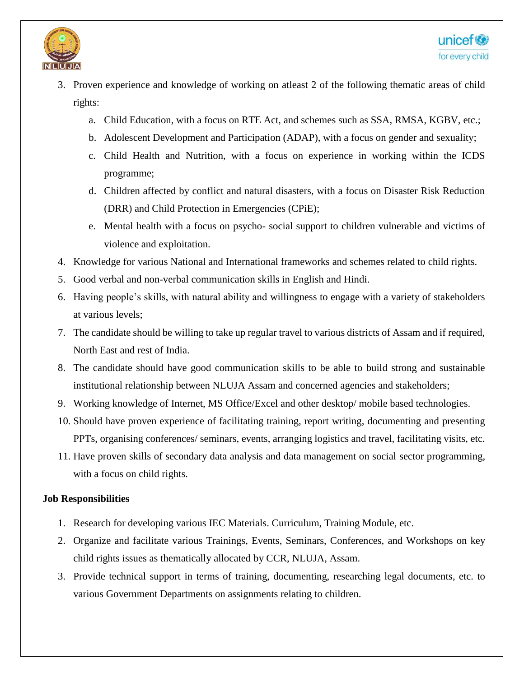

- 3. Proven experience and knowledge of working on atleast 2 of the following thematic areas of child rights:
	- a. Child Education, with a focus on RTE Act, and schemes such as SSA, RMSA, KGBV, etc.;
	- b. Adolescent Development and Participation (ADAP), with a focus on gender and sexuality;
	- c. Child Health and Nutrition, with a focus on experience in working within the ICDS programme;
	- d. Children affected by conflict and natural disasters, with a focus on Disaster Risk Reduction (DRR) and Child Protection in Emergencies (CPiE);
	- e. Mental health with a focus on psycho- social support to children vulnerable and victims of violence and exploitation.
- 4. Knowledge for various National and International frameworks and schemes related to child rights.
- 5. Good verbal and non-verbal communication skills in English and Hindi.
- 6. Having people's skills, with natural ability and willingness to engage with a variety of stakeholders at various levels;
- 7. The candidate should be willing to take up regular travel to various districts of Assam and if required, North East and rest of India.
- 8. The candidate should have good communication skills to be able to build strong and sustainable institutional relationship between NLUJA Assam and concerned agencies and stakeholders;
- 9. Working knowledge of Internet, MS Office/Excel and other desktop/ mobile based technologies.
- 10. Should have proven experience of facilitating training, report writing, documenting and presenting PPTs, organising conferences/ seminars, events, arranging logistics and travel, facilitating visits, etc.
- 11. Have proven skills of secondary data analysis and data management on social sector programming, with a focus on child rights.

#### **Job Responsibilities**

- 1. Research for developing various IEC Materials. Curriculum, Training Module, etc.
- 2. Organize and facilitate various Trainings, Events, Seminars, Conferences, and Workshops on key child rights issues as thematically allocated by CCR, NLUJA, Assam.
- 3. Provide technical support in terms of training, documenting, researching legal documents, etc. to various Government Departments on assignments relating to children.